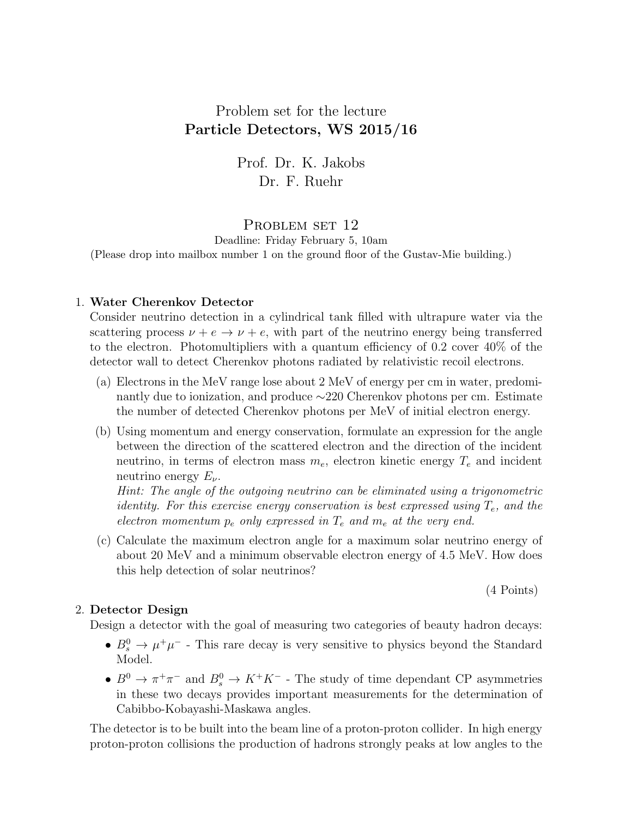## Problem set for the lecture Particle Detectors, WS 2015/16

Prof. Dr. K. Jakobs Dr. F. Ruehr

## PROBLEM SET 12

Deadline: Friday February 5, 10am (Please drop into mailbox number 1 on the ground floor of the Gustav-Mie building.)

## 1. Water Cherenkov Detector

Consider neutrino detection in a cylindrical tank filled with ultrapure water via the scattering process  $\nu + e \rightarrow \nu + e$ , with part of the neutrino energy being transferred to the electron. Photomultipliers with a quantum efficiency of 0.2 cover 40% of the detector wall to detect Cherenkov photons radiated by relativistic recoil electrons.

- (a) Electrons in the MeV range lose about 2 MeV of energy per cm in water, predominantly due to ionization, and produce ∼220 Cherenkov photons per cm. Estimate the number of detected Cherenkov photons per MeV of initial electron energy.
- (b) Using momentum and energy conservation, formulate an expression for the angle between the direction of the scattered electron and the direction of the incident neutrino, in terms of electron mass  $m_e$ , electron kinetic energy  $T_e$  and incident neutrino energy  $E_{\nu}$ .

Hint: The angle of the outgoing neutrino can be eliminated using a trigonometric identity. For this exercise energy conservation is best expressed using  $T_e$ , and the electron momentum  $p_e$  only expressed in  $T_e$  and  $m_e$  at the very end.

(c) Calculate the maximum electron angle for a maximum solar neutrino energy of about 20 MeV and a minimum observable electron energy of 4.5 MeV. How does this help detection of solar neutrinos?

(4 Points)

## 2. Detector Design

Design a detector with the goal of measuring two categories of beauty hadron decays:

- $B_s^0 \to \mu^+\mu^-$  This rare decay is very sensitive to physics beyond the Standard Model.
- $B^0 \to \pi^+\pi^-$  and  $B^0_s \to K^+K^-$  The study of time dependant CP asymmetries in these two decays provides important measurements for the determination of Cabibbo-Kobayashi-Maskawa angles.

The detector is to be built into the beam line of a proton-proton collider. In high energy proton-proton collisions the production of hadrons strongly peaks at low angles to the